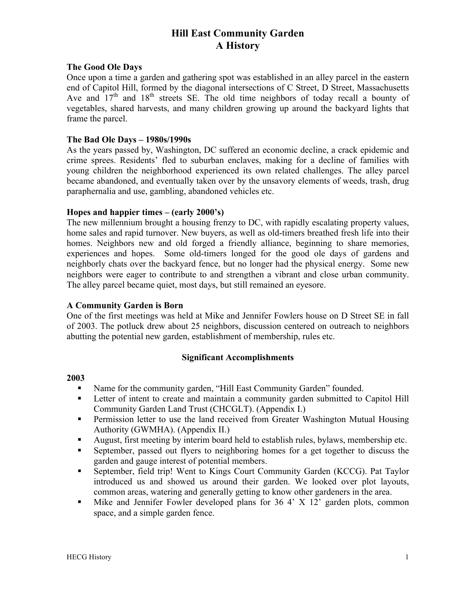# **Hill East Community Garden A History**

#### **The Good Ole Days**

Once upon a time a garden and gathering spot was established in an alley parcel in the eastern end of Capitol Hill, formed by the diagonal intersections of C Street, D Street, Massachusetts Ave and  $17<sup>th</sup>$  and  $18<sup>th</sup>$  streets SE. The old time neighbors of today recall a bounty of vegetables, shared harvests, and many children growing up around the backyard lights that frame the parcel.

#### **The Bad Ole Days – 1980s/1990s**

As the years passed by, Washington, DC suffered an economic decline, a crack epidemic and crime sprees. Residents' fled to suburban enclaves, making for a decline of families with young children the neighborhood experienced its own related challenges. The alley parcel became abandoned, and eventually taken over by the unsavory elements of weeds, trash, drug paraphernalia and use, gambling, abandoned vehicles etc.

#### **Hopes and happier times – (early 2000's)**

The new millennium brought a housing frenzy to DC, with rapidly escalating property values, home sales and rapid turnover. New buyers, as well as old-timers breathed fresh life into their homes. Neighbors new and old forged a friendly alliance, beginning to share memories, experiences and hopes. Some old-timers longed for the good ole days of gardens and neighborly chats over the backyard fence, but no longer had the physical energy. Some new neighbors were eager to contribute to and strengthen a vibrant and close urban community. The alley parcel became quiet, most days, but still remained an eyesore.

#### **A Community Garden is Born**

One of the first meetings was held at Mike and Jennifer Fowlers house on D Street SE in fall of 2003. The potluck drew about 25 neighbors, discussion centered on outreach to neighbors abutting the potential new garden, establishment of membership, rules etc.

#### **Significant Accomplishments**

#### **2003**

- Name for the community garden, "Hill East Community Garden" founded.
- Letter of intent to create and maintain a community garden submitted to Capitol Hill Community Garden Land Trust (CHCGLT). (Appendix I.)
- **Permission letter to use the land received from Greater Washington Mutual Housing** Authority (GWMHA). (Appendix II.)
- August, first meeting by interim board held to establish rules, bylaws, membership etc.
- September, passed out flyers to neighboring homes for a get together to discuss the garden and gauge interest of potential members.
- September, field trip! Went to Kings Court Community Garden (KCCG). Pat Taylor introduced us and showed us around their garden. We looked over plot layouts, common areas, watering and generally getting to know other gardeners in the area.
- Mike and Jennifer Fowler developed plans for 36 4' X 12' garden plots, common space, and a simple garden fence.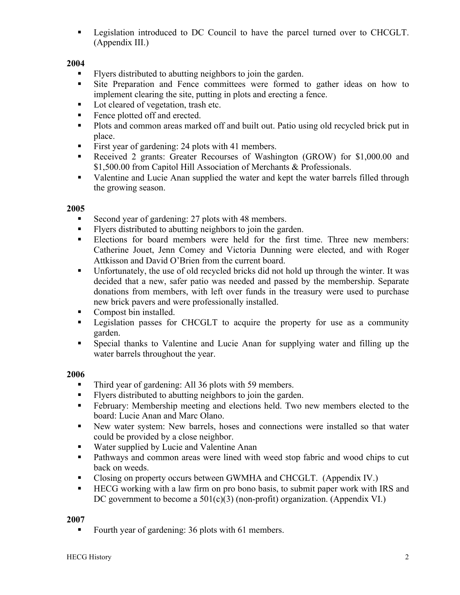**Example 1** Legislation introduced to DC Council to have the parcel turned over to CHCGLT. (Appendix III.)

# **2004**

- Flyers distributed to abutting neighbors to join the garden.
- If Site Preparation and Fence committees were formed to gather ideas on how to implement clearing the site, putting in plots and erecting a fence.
- Lot cleared of vegetation, trash etc.
- Fence plotted off and erected.
- **Plots and common areas marked off and built out. Patio using old recycled brick put in** place.
- First year of gardening: 24 plots with 41 members.
- Received 2 grants: Greater Recourses of Washington (GROW) for \$1,000.00 and \$1,500.00 from Capitol Hill Association of Merchants & Professionals.
- Valentine and Lucie Anan supplied the water and kept the water barrels filled through the growing season.

# **2005**

- Second year of gardening: 27 plots with 48 members.
- Flyers distributed to abutting neighbors to join the garden.
- Elections for board members were held for the first time. Three new members: Catherine Jouet, Jenn Comey and Victoria Dunning were elected, and with Roger Attkisson and David O'Brien from the current board.
- Unfortunately, the use of old recycled bricks did not hold up through the winter. It was decided that a new, safer patio was needed and passed by the membership. Separate donations from members, with left over funds in the treasury were used to purchase new brick pavers and were professionally installed.
- Compost bin installed.
- **Example 1** Legislation passes for CHCGLT to acquire the property for use as a community garden.
- Special thanks to Valentine and Lucie Anan for supplying water and filling up the water barrels throughout the year.

# **2006**

- Third year of gardening: All 36 plots with 59 members.
- Flyers distributed to abutting neighbors to join the garden.
- February: Membership meeting and elections held. Two new members elected to the board: Lucie Anan and Marc Olano.
- New water system: New barrels, hoses and connections were installed so that water could be provided by a close neighbor.
- Water supplied by Lucie and Valentine Anan
- **Pathways and common areas were lined with weed stop fabric and wood chips to cut** back on weeds.
- Closing on property occurs between GWMHA and CHCGLT. (Appendix IV.)
- HECG working with a law firm on pro bono basis, to submit paper work with IRS and DC government to become a  $501(c)(3)$  (non-profit) organization. (Appendix VI.)

# **2007**

Fourth year of gardening: 36 plots with 61 members.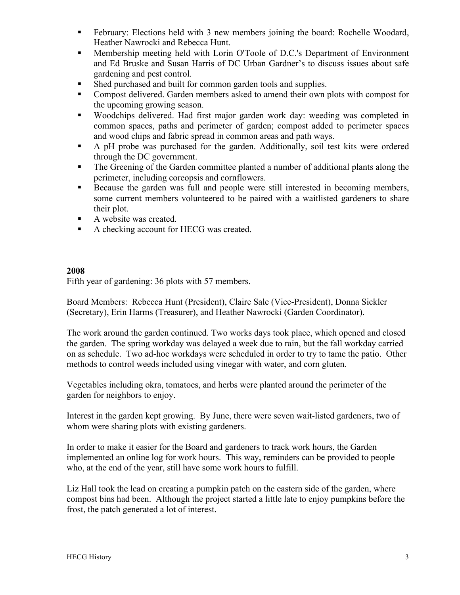- February: Elections held with 3 new members joining the board: Rochelle Woodard, Heather Nawrocki and Rebecca Hunt.
- Membership meeting held with Lorin O'Toole of D.C.'s Department of Environment and Ed Bruske and Susan Harris of DC Urban Gardner's to discuss issues about safe gardening and pest control.
- Shed purchased and built for common garden tools and supplies.
- Compost delivered. Garden members asked to amend their own plots with compost for the upcoming growing season.
- Woodchips delivered. Had first major garden work day: weeding was completed in common spaces, paths and perimeter of garden; compost added to perimeter spaces and wood chips and fabric spread in common areas and path ways.
- A pH probe was purchased for the garden. Additionally, soil test kits were ordered through the DC government.
- The Greening of the Garden committee planted a number of additional plants along the perimeter, including coreopsis and cornflowers.
- Because the garden was full and people were still interested in becoming members, some current members volunteered to be paired with a waitlisted gardeners to share their plot.
- A website was created.
- A checking account for HECG was created.

### **2008**

Fifth year of gardening: 36 plots with 57 members.

Board Members: Rebecca Hunt (President), Claire Sale (Vice-President), Donna Sickler (Secretary), Erin Harms (Treasurer), and Heather Nawrocki (Garden Coordinator).

The work around the garden continued. Two works days took place, which opened and closed the garden. The spring workday was delayed a week due to rain, but the fall workday carried on as schedule. Two ad-hoc workdays were scheduled in order to try to tame the patio. Other methods to control weeds included using vinegar with water, and corn gluten.

Vegetables including okra, tomatoes, and herbs were planted around the perimeter of the garden for neighbors to enjoy.

Interest in the garden kept growing. By June, there were seven wait-listed gardeners, two of whom were sharing plots with existing gardeners.

In order to make it easier for the Board and gardeners to track work hours, the Garden implemented an online log for work hours. This way, reminders can be provided to people who, at the end of the year, still have some work hours to fulfill.

Liz Hall took the lead on creating a pumpkin patch on the eastern side of the garden, where compost bins had been. Although the project started a little late to enjoy pumpkins before the frost, the patch generated a lot of interest.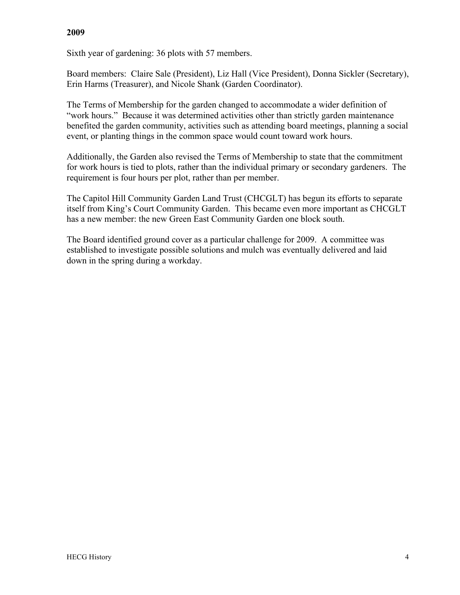### **2009**

Sixth year of gardening: 36 plots with 57 members.

Board members: Claire Sale (President), Liz Hall (Vice President), Donna Sickler (Secretary), Erin Harms (Treasurer), and Nicole Shank (Garden Coordinator).

The Terms of Membership for the garden changed to accommodate a wider definition of "work hours." Because it was determined activities other than strictly garden maintenance benefited the garden community, activities such as attending board meetings, planning a social event, or planting things in the common space would count toward work hours.

Additionally, the Garden also revised the Terms of Membership to state that the commitment for work hours is tied to plots, rather than the individual primary or secondary gardeners. The requirement is four hours per plot, rather than per member.

The Capitol Hill Community Garden Land Trust (CHCGLT) has begun its efforts to separate itself from King's Court Community Garden. This became even more important as CHCGLT has a new member: the new Green East Community Garden one block south.

The Board identified ground cover as a particular challenge for 2009. A committee was established to investigate possible solutions and mulch was eventually delivered and laid down in the spring during a workday.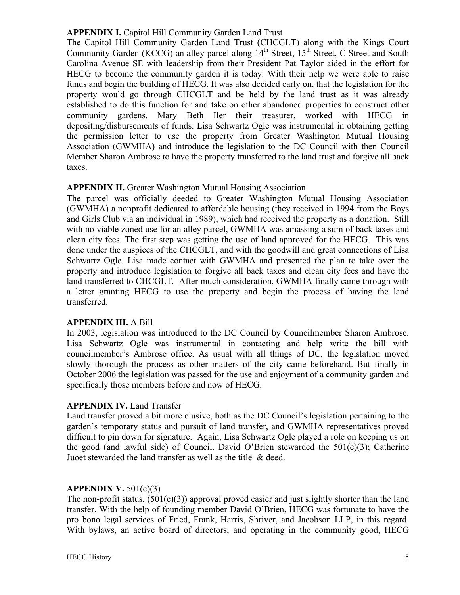#### **APPENDIX I.** Capitol Hill Community Garden Land Trust

The Capitol Hill Community Garden Land Trust (CHCGLT) along with the Kings Court Community Garden (KCCG) an alley parcel along  $14<sup>th</sup>$  Street,  $15<sup>th</sup>$  Street, C Street and South Carolina Avenue SE with leadership from their President Pat Taylor aided in the effort for HECG to become the community garden it is today. With their help we were able to raise funds and begin the building of HECG. It was also decided early on, that the legislation for the property would go through CHCGLT and be held by the land trust as it was already established to do this function for and take on other abandoned properties to construct other community gardens. Mary Beth Iler their treasurer, worked with HECG in depositing/disbursements of funds. Lisa Schwartz Ogle was instrumental in obtaining getting the permission letter to use the property from Greater Washington Mutual Housing Association (GWMHA) and introduce the legislation to the DC Council with then Council Member Sharon Ambrose to have the property transferred to the land trust and forgive all back taxes.

### **APPENDIX II.** Greater Washington Mutual Housing Association

The parcel was officially deeded to Greater Washington Mutual Housing Association (GWMHA) a nonprofit dedicated to affordable housing (they received in 1994 from the Boys and Girls Club via an individual in 1989), which had received the property as a donation. Still with no viable zoned use for an alley parcel, GWMHA was amassing a sum of back taxes and clean city fees. The first step was getting the use of land approved for the HECG. This was done under the auspices of the CHCGLT, and with the goodwill and great connections of Lisa Schwartz Ogle. Lisa made contact with GWMHA and presented the plan to take over the property and introduce legislation to forgive all back taxes and clean city fees and have the land transferred to CHCGLT. After much consideration, GWMHA finally came through with a letter granting HECG to use the property and begin the process of having the land transferred.

#### **APPENDIX III.** A Bill

In 2003, legislation was introduced to the DC Council by Councilmember Sharon Ambrose. Lisa Schwartz Ogle was instrumental in contacting and help write the bill with councilmember's Ambrose office. As usual with all things of DC, the legislation moved slowly thorough the process as other matters of the city came beforehand. But finally in October 2006 the legislation was passed for the use and enjoyment of a community garden and specifically those members before and now of HECG.

# **APPENDIX IV.** Land Transfer

Land transfer proved a bit more elusive, both as the DC Council's legislation pertaining to the garden's temporary status and pursuit of land transfer, and GWMHA representatives proved difficult to pin down for signature. Again, Lisa Schwartz Ogle played a role on keeping us on the good (and lawful side) of Council. David O'Brien stewarded the  $501(c)(3)$ ; Catherine Juoet stewarded the land transfer as well as the title & deed.

# **APPENDIX V.** 501(c)(3)

The non-profit status,  $(501(c)(3))$  approval proved easier and just slightly shorter than the land transfer. With the help of founding member David O'Brien, HECG was fortunate to have the pro bono legal services of Fried, Frank, Harris, Shriver, and Jacobson LLP, in this regard. With bylaws, an active board of directors, and operating in the community good, HECG